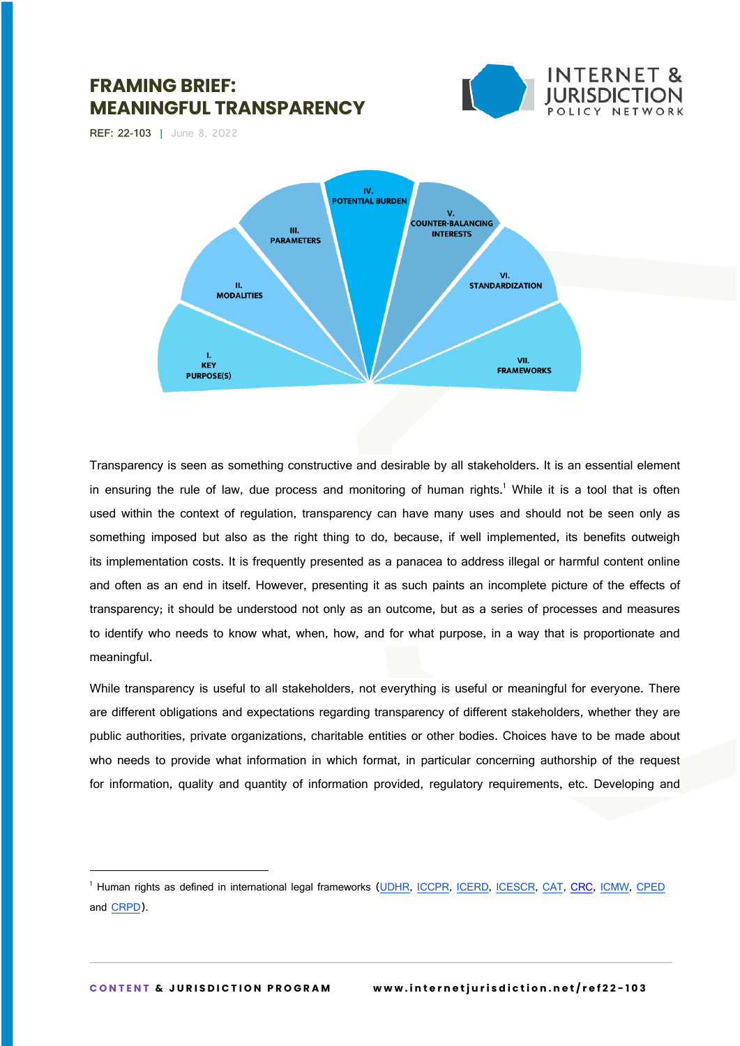





Transparency is seen as something constructive and desirable by all stakeholders. It is an essential element in ensuring the rule of law, due process and monitoring of human rights.<sup>1</sup> While it is a tool that is often used within the context of regulation, transparency can have many uses and should not be seen only as something imposed but also as the right thing to do, because, if well implemented, its benefits outweigh its implementation costs. It is frequently presented as a panacea to address illegal or harmful content online and often as an end in itself. However, presenting it as such paints an incomplete picture of the effects of transparency; it should be understood not only as an outcome, but as a series of processes and measures to identify who needs to know what, when, how, and for what purpose, in a way that is proportionate and meaningful.

While transparency is useful to all stakeholders, not everything is useful or meaningful for everyone. There are different obligations and expectations regarding transparency of different stakeholders, whether they are public authorities, private organizations, charitable entities or other bodies. Choices have to be made about who needs to provide what information in which format, in particular concerning authorship of the request for information, quality and quantity of information provided, regulatory requirements, etc. Developing and

<sup>&</sup>lt;sup>1</sup> Human rights as defined in international legal frameworks (UDHR, ICCPR, ICERD, ICESCR, CAT, CRC, ICMW, CPED and CRPD).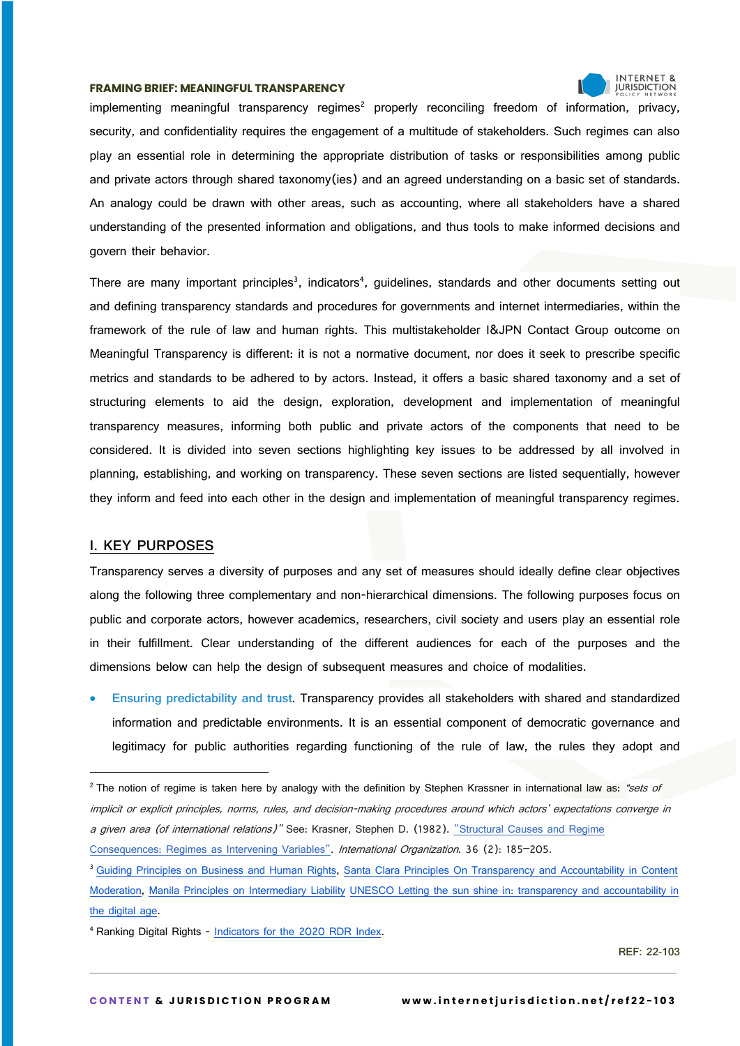

implementing meaningful transparency regimes<sup>2</sup> properly reconciling freedom of information, privacy, security, and confidentiality requires the engagement of a multitude of stakeholders. Such regimes can also play an essential role in determining the appropriate distribution of tasks or responsibilities among public and private actors through shared taxonomy(ies) and an agreed understanding on a basic set of standards. An analogy could be drawn with other areas, such as accounting, where all stakeholders have a shared understanding of the presented information and obligations, and thus tools to make informed decisions and govern their behavior.

There are many important principles<sup>3</sup>, indicators<sup>4</sup>, guidelines, standards and other documents setting out and defining transparency standards and procedures for governments and internet intermediaries, within the framework of the rule of law and human rights. This multistakeholder I&JPN Contact Group outcome on Meaningful Transparency is different: it is not a normative document, nor does it seek to prescribe specific metrics and standards to be adhered to by actors. Instead, it offers a basic shared taxonomy and a set of structuring elements to aid the design, exploration, development and implementation of meaningful transparency measures, informing both public and private actors of the components that need to be considered. It is divided into seven sections highlighting key issues to be addressed by all involved in planning, establishing, and working on transparency. These seven sections are listed sequentially, however they inform and feed into each other in the design and implementation of meaningful transparency regimes.

# **I. KEY PURPOSES**

Transparency serves a diversity of purposes and any set of measures should ideally define clear objectives along the following three complementary and non-hierarchical dimensions. The following purposes focus on public and corporate actors, however academics, researchers, civil society and users play an essential role in their fulfillment. Clear understanding of the different audiences for each of the purposes and the dimensions below can help the design of subsequent measures and choice of modalities.

• **Ensuring predictability and trust.** Transparency provides all stakeholders with shared and standardized information and predictable environments. It is an essential component of democratic governance and legitimacy for public authorities regarding functioning of the rule of law, the rules they adopt and

Consequences: Regimes as Intervening Variables". International Organization. 36 (2): 185-205.

<sup>&</sup>lt;sup>2</sup> The notion of regime is taken here by analogy with the definition by Stephen Krassner in international law as: "sets of implicit or explicit principles, norms, rules, and decision-making procedures around which actors' expectations converge in a given area (of international relations)" See: Krasner, Stephen D. (1982). "Structural Causes and Regime

<sup>&</sup>lt;sup>3</sup> Guiding Principles on Business and Human Rights, Santa Clara Principles On Transparency and Accountability in Content Moderation, Manila Principles on Intermediary Liability UNESCO Letting the sun shine in: transparency and accountability in the digital age.

<sup>4</sup> Ranking Digital Rights - Indicators for the 2020 RDR Index.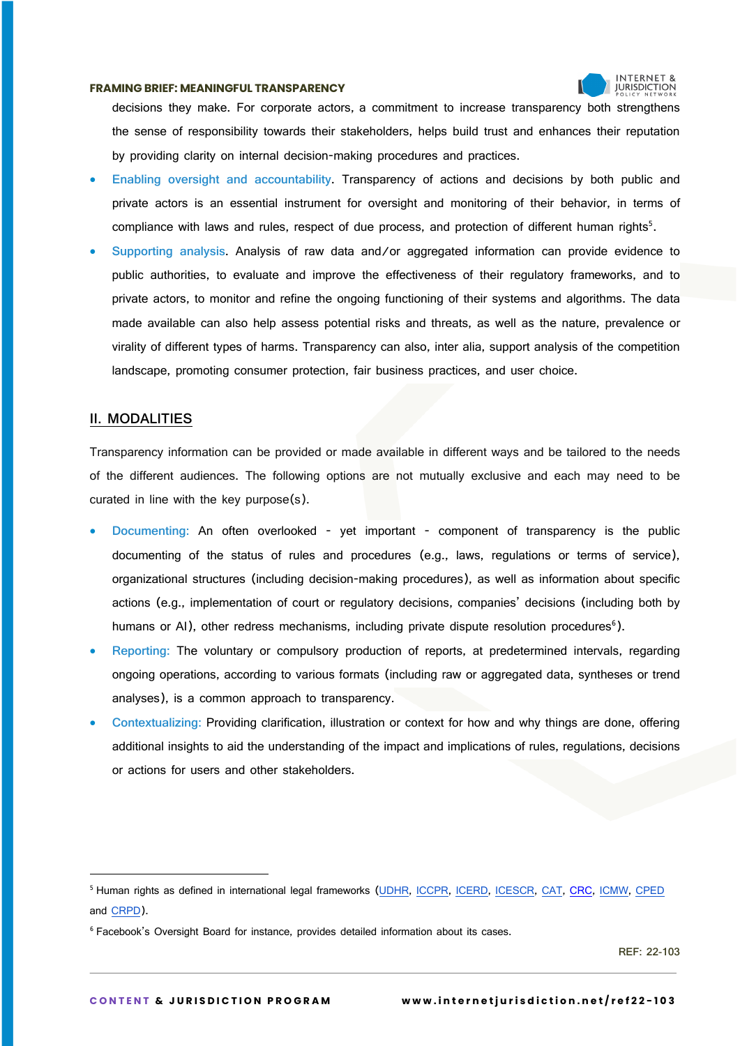

decisions they make. For corporate actors, a commitment to increase transparency both strengthens the sense of responsibility towards their stakeholders, helps build trust and enhances their reputation by providing clarity on internal decision-making procedures and practices.

- **Enabling oversight and accountability.** Transparency of actions and decisions by both public and private actors is an essential instrument for oversight and monitoring of their behavior, in terms of compliance with laws and rules, respect of due process, and protection of different human rights<sup>5</sup>.
- **Supporting analysis.** Analysis of raw data and/or aggregated information can provide evidence to public authorities, to evaluate and improve the effectiveness of their regulatory frameworks, and to private actors, to monitor and refine the ongoing functioning of their systems and algorithms. The data made available can also help assess potential risks and threats, as well as the nature, prevalence or virality of different types of harms. Transparency can also, inter alia, support analysis of the competition landscape, promoting consumer protection, fair business practices, and user choice.

# **II. MODALITIES**

Transparency information can be provided or made available in different ways and be tailored to the needs of the different audiences. The following options are not mutually exclusive and each may need to be curated in line with the key purpose(s).

- **Documenting:** An often overlooked yet important component of transparency is the public documenting of the status of rules and procedures (e.g., laws, regulations or terms of service), organizational structures (including decision-making procedures), as well as information about specific actions (e.g., implementation of court or regulatory decisions, companies' decisions (including both by humans or AI), other redress mechanisms, including private dispute resolution procedures<sup>6</sup>).
- **Reporting:** The voluntary or compulsory production of reports, at predetermined intervals, regarding ongoing operations, according to various formats (including raw or aggregated data, syntheses or trend analyses), is a common approach to transparency.
- **Contextualizing:** Providing clarification, illustration or context for how and why things are done, offering additional insights to aid the understanding of the impact and implications of rules, regulations, decisions or actions for users and other stakeholders.

<sup>&</sup>lt;sup>5</sup> Human rights as defined in international legal frameworks (UDHR, ICCPR, ICERD, ICESCR, CAT, CRC, ICMW, CPED and CRPD).

<sup>&</sup>lt;sup>6</sup> Facebook's Oversight Board for instance, provides detailed information about its cases.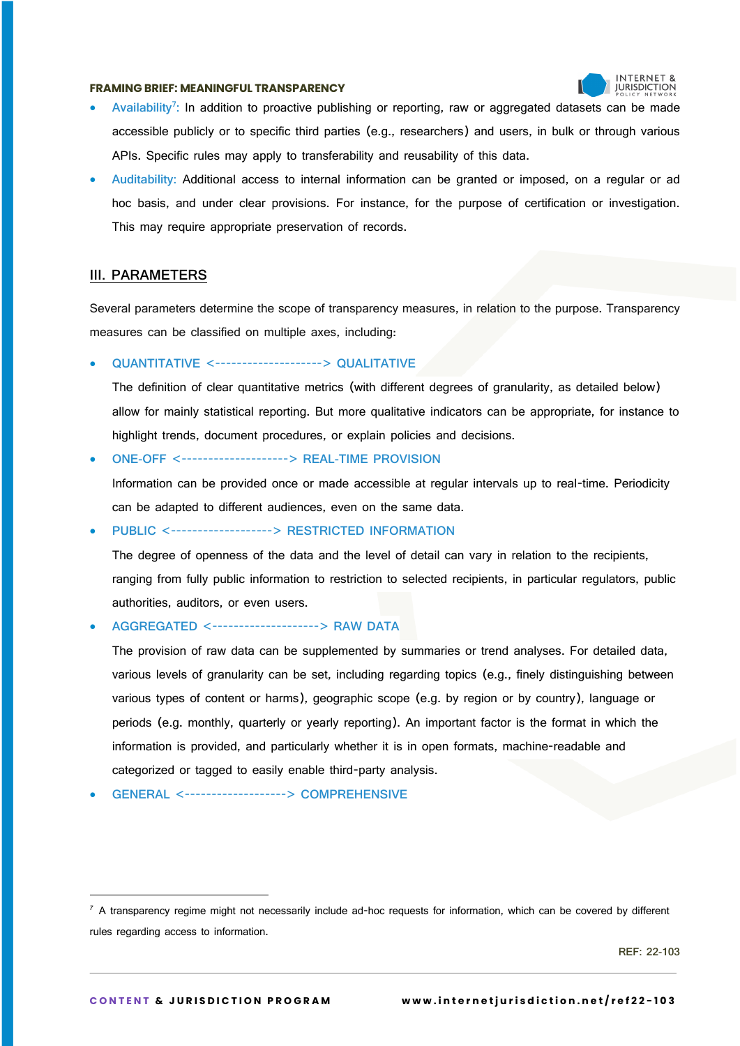

- **Availability<sup>7</sup> :** In addition to proactive publishing or reporting, raw or aggregated datasets can be made accessible publicly or to specific third parties (e.g., researchers) and users, in bulk or through various APIs. Specific rules may apply to transferability and reusability of this data.
- **Auditability:** Additional access to internal information can be granted or imposed, on a regular or ad hoc basis, and under clear provisions. For instance, for the purpose of certification or investigation. This may require appropriate preservation of records.

# **III. PARAMETERS**

Several parameters determine the scope of transparency measures, in relation to the purpose. Transparency measures can be classified on multiple axes, including:

# • **QUANTITATIVE** <--------------------> **QUALITATIVE**

The definition of clear quantitative metrics (with different degrees of granularity, as detailed below) allow for mainly statistical reporting. But more qualitative indicators can be appropriate, for instance to highlight trends, document procedures, or explain policies and decisions.

# • **ONE-OFF** <--------------------> **REAL-TIME PROVISION**

Information can be provided once or made accessible at regular intervals up to real-time. Periodicity can be adapted to different audiences, even on the same data.

#### • **PUBLIC** <-------------------> **RESTRICTED INFORMATION**

The degree of openness of the data and the level of detail can vary in relation to the recipients, ranging from fully public information to restriction to selected recipients, in particular regulators, public authorities, auditors, or even users.

#### • **AGGREGATED** <--------------------> **RAW DATA**

The provision of raw data can be supplemented by summaries or trend analyses. For detailed data, various levels of granularity can be set, including regarding topics (e.g., finely distinguishing between various types of content or harms), geographic scope (e.g. by region or by country), language or periods (e.g. monthly, quarterly or yearly reporting). An important factor is the format in which the information is provided, and particularly whether it is in open formats, machine-readable and categorized or tagged to easily enable third-party analysis.

• **GENERAL** <-------------------> **COMPREHENSIVE**

 $<sup>7</sup>$  A transparency regime might not necessarily include ad-hoc requests for information, which can be covered by different</sup> rules regarding access to information.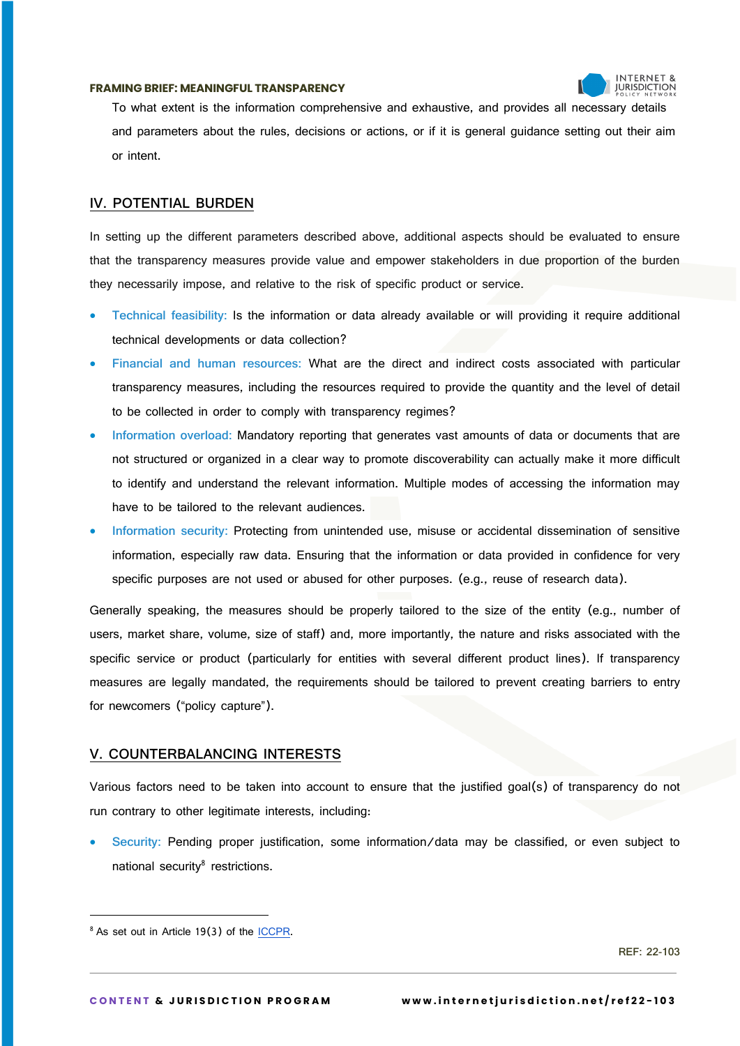

To what extent is the information comprehensive and exhaustive, and provides all necessary details and parameters about the rules, decisions or actions, or if it is general guidance setting out their aim or intent.

# **IV. POTENTIAL BURDEN**

In setting up the different parameters described above, additional aspects should be evaluated to ensure that the transparency measures provide value and empower stakeholders in due proportion of the burden they necessarily impose, and relative to the risk of specific product or service.

- **Technical feasibility:** Is the information or data already available or will providing it require additional technical developments or data collection?
- **Financial and human resources:** What are the direct and indirect costs associated with particular transparency measures, including the resources required to provide the quantity and the level of detail to be collected in order to comply with transparency regimes?
- **Information overload:** Mandatory reporting that generates vast amounts of data or documents that are not structured or organized in a clear way to promote discoverability can actually make it more difficult to identify and understand the relevant information. Multiple modes of accessing the information may have to be tailored to the relevant audiences.
- **Information security:** Protecting from unintended use, misuse or accidental dissemination of sensitive information, especially raw data. Ensuring that the information or data provided in confidence for very specific purposes are not used or abused for other purposes. (e.g., reuse of research data).

Generally speaking, the measures should be properly tailored to the size of the entity (e.g., number of users, market share, volume, size of staff) and, more importantly, the nature and risks associated with the specific service or product (particularly for entities with several different product lines). If transparency measures are legally mandated, the requirements should be tailored to prevent creating barriers to entry for newcomers ("policy capture").

# **V. COUNTERBALANCING INTERESTS**

Various factors need to be taken into account to ensure that the justified goal(s) of transparency do not run contrary to other legitimate interests, including:

• **Security:** Pending proper justification, some information/data may be classified, or even subject to national security $8$  restrictions.

<sup>&</sup>lt;sup>8</sup> As set out in Article 19(3) of the ICCPR.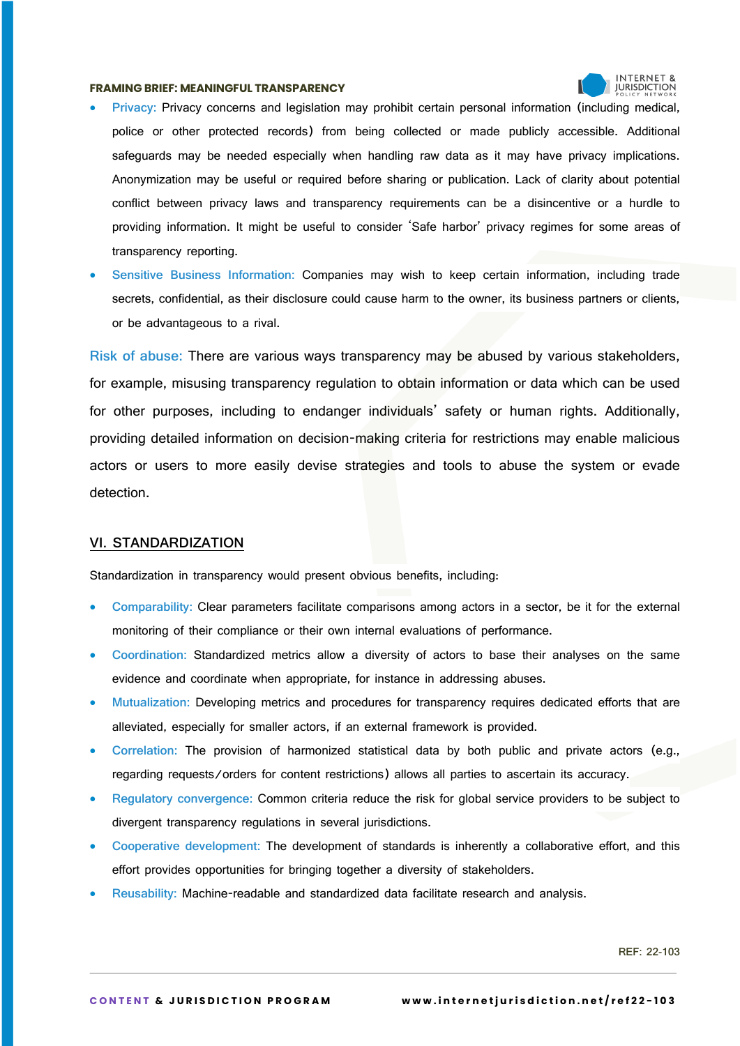

- **Privacy:** Privacy concerns and legislation may prohibit certain personal information (including medical, police or other protected records) from being collected or made publicly accessible. Additional safeguards may be needed especially when handling raw data as it may have privacy implications. Anonymization may be useful or required before sharing or publication. Lack of clarity about potential conflict between privacy laws and transparency requirements can be a disincentive or a hurdle to providing information. It might be useful to consider 'Safe harbor' privacy regimes for some areas of transparency reporting.
- **Sensitive Business Information:** Companies may wish to keep certain information, including trade secrets, confidential, as their disclosure could cause harm to the owner, its business partners or clients, or be advantageous to a rival.

**Risk of abuse:** There are various ways transparency may be abused by various stakeholders, for example, misusing transparency regulation to obtain information or data which can be used for other purposes, including to endanger individuals' safety or human rights. Additionally, providing detailed information on decision-making criteria for restrictions may enable malicious actors or users to more easily devise strategies and tools to abuse the system or evade detection.

# **VI. STANDARDIZATION**

Standardization in transparency would present obvious benefits, including:

- **Comparability:** Clear parameters facilitate comparisons among actors in a sector, be it for the external monitoring of their compliance or their own internal evaluations of performance.
- **Coordination:** Standardized metrics allow a diversity of actors to base their analyses on the same evidence and coordinate when appropriate, for instance in addressing abuses.
- **Mutualization:** Developing metrics and procedures for transparency requires dedicated efforts that are alleviated, especially for smaller actors, if an external framework is provided.
- **Correlation:** The provision of harmonized statistical data by both public and private actors (e.g., regarding requests/orders for content restrictions) allows all parties to ascertain its accuracy.
- **Regulatory convergence:** Common criteria reduce the risk for global service providers to be subject to divergent transparency regulations in several jurisdictions.
- **Cooperative development:** The development of standards is inherently a collaborative effort, and this effort provides opportunities for bringing together a diversity of stakeholders.
- **Reusability:** Machine-readable and standardized data facilitate research and analysis.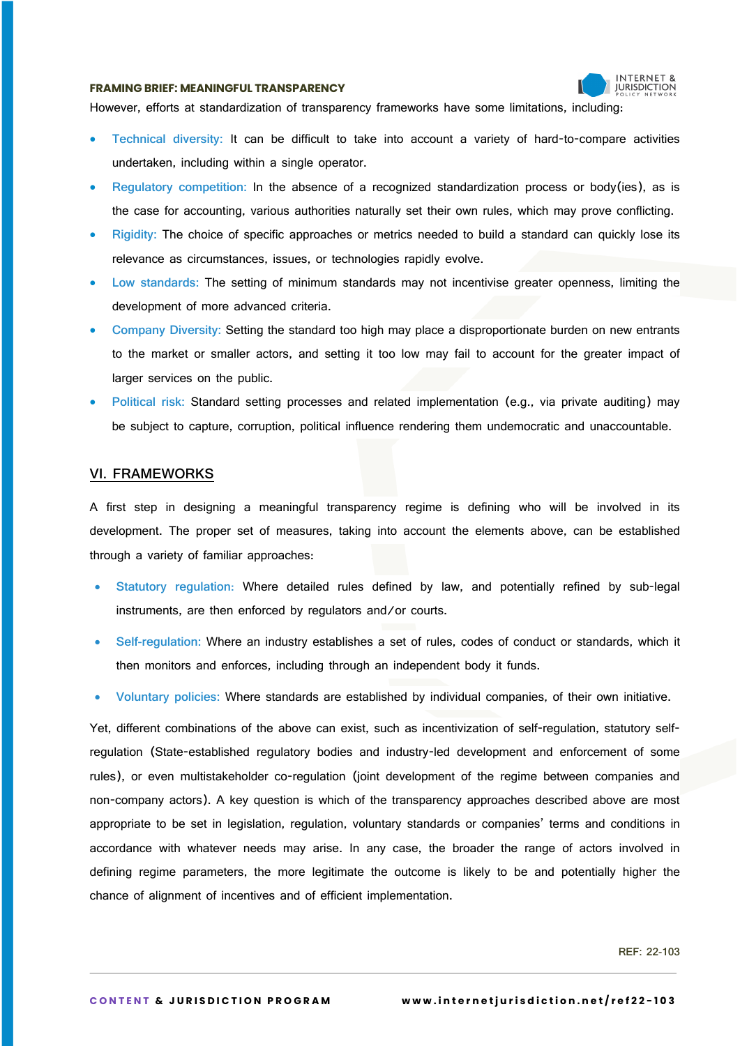

However, efforts at standardization of transparency frameworks have some limitations, including:

- **Technical diversity:** It can be difficult to take into account a variety of hard-to-compare activities undertaken, including within a single operator.
- **Regulatory competition:** In the absence of a recognized standardization process or body(ies), as is the case for accounting, various authorities naturally set their own rules, which may prove conflicting.
- **Rigidity:** The choice of specific approaches or metrics needed to build a standard can quickly lose its relevance as circumstances, issues, or technologies rapidly evolve.
- **Low standards:** The setting of minimum standards may not incentivise greater openness, limiting the development of more advanced criteria.
- **Company Diversity:** Setting the standard too high may place a disproportionate burden on new entrants to the market or smaller actors, and setting it too low may fail to account for the greater impact of larger services on the public.
- **Political risk:** Standard setting processes and related implementation (e.g., via private auditing) may be subject to capture, corruption, political influence rendering them undemocratic and unaccountable.

#### **VI. FRAMEWORKS**

A first step in designing a meaningful transparency regime is defining who will be involved in its development. The proper set of measures, taking into account the elements above, can be established through a variety of familiar approaches:

- **Statutory regulation**: Where detailed rules defined by law, and potentially refined by sub-legal instruments, are then enforced by regulators and/or courts.
- **Self-regulation:** Where an industry establishes a set of rules, codes of conduct or standards, which it then monitors and enforces, including through an independent body it funds.
- **Voluntary policies:** Where standards are established by individual companies, of their own initiative.

Yet, different combinations of the above can exist, such as incentivization of self-regulation, statutory selfregulation (State-established regulatory bodies and industry-led development and enforcement of some rules), or even multistakeholder co-regulation (joint development of the regime between companies and non-company actors). A key question is which of the transparency approaches described above are most appropriate to be set in legislation, regulation, voluntary standards or companies' terms and conditions in accordance with whatever needs may arise. In any case, the broader the range of actors involved in defining regime parameters, the more legitimate the outcome is likely to be and potentially higher the chance of alignment of incentives and of efficient implementation.